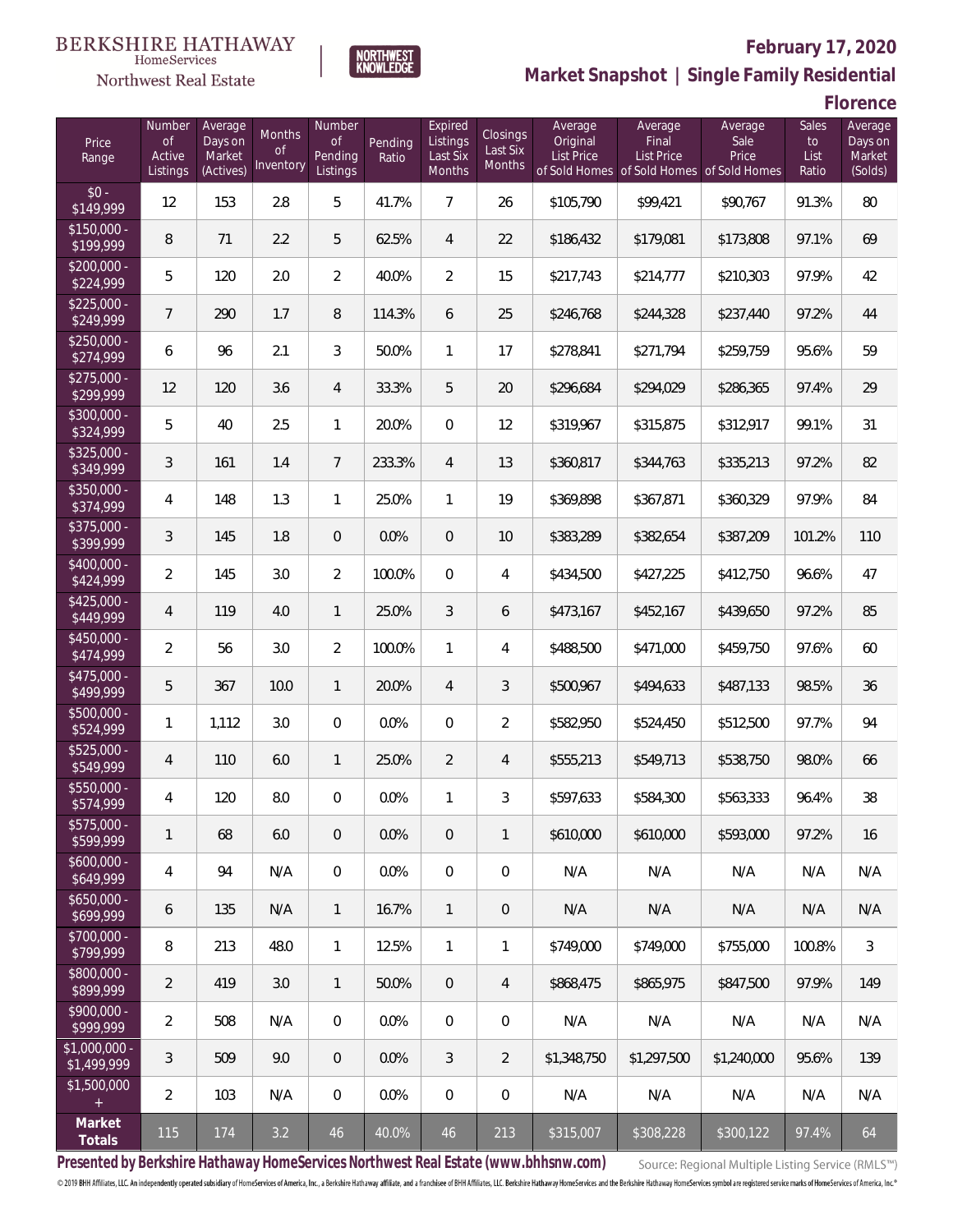

## **February 17, 2020**

**Market Snapshot | Single Family Residential**

**Florence**

| Price<br>Range                | Number<br><b>of</b><br>Active<br>Listings | Average<br>Days on<br>Market<br>(Actives) | Months<br>0f<br>Inventory | Number<br><b>of</b><br>Pending<br>Listings | Pending<br>Ratio | Expired<br>Listings<br>Last Six<br>Months | <b>Closings</b><br>Last Six<br>Months | Average<br>Original<br><b>List Price</b> | Average<br>Final<br><b>List Price</b><br>of Sold Homes of Sold Homes of Sold Homes | Average<br>Sale<br>Price | Sales<br>$\mathsf{to}$<br>List<br>Ratio | Average<br>Days on<br>Market<br>(Solds) |
|-------------------------------|-------------------------------------------|-------------------------------------------|---------------------------|--------------------------------------------|------------------|-------------------------------------------|---------------------------------------|------------------------------------------|------------------------------------------------------------------------------------|--------------------------|-----------------------------------------|-----------------------------------------|
| $$0 -$<br>\$149,999           | 12                                        | 153                                       | 2.8                       | 5                                          | 41.7%            | $\overline{7}$                            | 26                                    | \$105,790                                | \$99,421                                                                           | \$90,767                 | 91.3%                                   | 80                                      |
| $$150,000 -$<br>\$199,999     | 8                                         | 71                                        | 2.2                       | 5                                          | 62.5%            | $\overline{4}$                            | 22                                    | \$186,432                                | \$179,081                                                                          | \$173,808                | 97.1%                                   | 69                                      |
| $$200,000 -$<br>\$224,999     | 5                                         | 120                                       | 2.0                       | $\overline{2}$                             | 40.0%            | $\overline{2}$                            | 15                                    | \$217,743                                | \$214,777                                                                          | \$210,303                | 97.9%                                   | 42                                      |
| $$225,000 -$<br>\$249,999     | $7\overline{ }$                           | 290                                       | 1.7                       | 8                                          | 114.3%           | 6                                         | 25                                    | \$246,768                                | \$244,328                                                                          | \$237,440                | 97.2%                                   | 44                                      |
| $$250,000 -$<br>\$274,999     | 6                                         | 96                                        | 2.1                       | 3                                          | 50.0%            | 1                                         | 17                                    | \$278,841                                | \$271,794                                                                          | \$259,759                | 95.6%                                   | 59                                      |
| $$275,000 -$<br>\$299,999     | 12                                        | 120                                       | 3.6                       | 4                                          | 33.3%            | 5                                         | 20                                    | \$296,684                                | \$294,029                                                                          | \$286,365                | 97.4%                                   | 29                                      |
| \$300,000 -<br>\$324,999      | 5                                         | 40                                        | 2.5                       | $\mathbf{1}$                               | 20.0%            | 0                                         | 12                                    | \$319,967                                | \$315,875                                                                          | \$312,917                | 99.1%                                   | 31                                      |
| $$325,000 -$<br>\$349,999     | 3                                         | 161                                       | 1.4                       | $\overline{7}$                             | 233.3%           | $\overline{4}$                            | 13                                    | \$360,817                                | \$344,763                                                                          | \$335,213                | 97.2%                                   | 82                                      |
| \$350,000 -<br>\$374,999      | 4                                         | 148                                       | 1.3                       | $\mathbf{1}$                               | 25.0%            | 1                                         | 19                                    | \$369,898                                | \$367,871                                                                          | \$360,329                | 97.9%                                   | 84                                      |
| $$375,000 -$<br>\$399,999     | 3                                         | 145                                       | 1.8                       | $\overline{0}$                             | 0.0%             | $\overline{0}$                            | 10                                    | \$383,289                                | \$382,654                                                                          | \$387,209                | 101.2%                                  | 110                                     |
| $$400,000 -$<br>\$424,999     | $\overline{2}$                            | 145                                       | 3.0                       | $\overline{2}$                             | 100.0%           | $\overline{0}$                            | 4                                     | \$434,500                                | \$427,225                                                                          | \$412,750                | 96.6%                                   | 47                                      |
| $$425,000 -$<br>\$449,999     | 4                                         | 119                                       | 4.0                       | $\mathbf{1}$                               | 25.0%            | 3                                         | 6                                     | \$473,167                                | \$452,167                                                                          | \$439,650                | 97.2%                                   | 85                                      |
| \$450,000 -<br>\$474,999      | $\overline{2}$                            | 56                                        | 3.0                       | $\overline{a}$                             | 100.0%           | $\mathbf{1}$                              | 4                                     | \$488,500                                | \$471,000                                                                          | \$459,750                | 97.6%                                   | 60                                      |
| $$475,000 -$<br>\$499,999     | 5                                         | 367                                       | 10.0                      | $\mathbf{1}$                               | 20.0%            | $\overline{4}$                            | 3                                     | \$500,967                                | \$494,633                                                                          | \$487,133                | 98.5%                                   | 36                                      |
| $$500,000 -$<br>\$524,999     | $\mathbf{1}$                              | 1,112                                     | 3.0                       | $\overline{0}$                             | 0.0%             | $\overline{0}$                            | $\overline{2}$                        | \$582,950                                | \$524,450                                                                          | \$512,500                | 97.7%                                   | 94                                      |
| $$525,000 -$<br>\$549,999     | 4                                         | 110                                       | 6.0                       | 1                                          | 25.0%            | $\overline{2}$                            | 4                                     | \$555,213                                | \$549,713                                                                          | \$538,750                | 98.0%                                   | 66                                      |
| \$550,000 -<br>\$574,999      | 4                                         | 120                                       | $8.0\,$                   | $\mathbf{0}$                               | 0.0%             | 1                                         | 3                                     | \$597,633                                | \$584,300                                                                          | \$563,333                | 96.4%                                   | 38                                      |
| \$575,000 -<br>\$599,999      | 1                                         | 68                                        | 6.0                       | $\mathbf 0$                                | 0.0%             | 0                                         | 1                                     | \$610,000                                | \$610.000                                                                          | \$593,000                | 97.2%                                   | 16                                      |
| $$600,000 -$<br>\$649,999     | 4                                         | 94                                        | N/A                       | $\mathbf{0}$                               | 0.0%             | 0                                         | $\mathbf 0$                           | N/A                                      | N/A                                                                                | N/A                      | N/A                                     | N/A                                     |
| $$650,000 -$<br>\$699,999     | 6                                         | 135                                       | N/A                       | $\mathbf{1}$                               | 16.7%            | $\mathbf{1}$                              | $\mathbf 0$                           | N/A                                      | N/A                                                                                | N/A                      | N/A                                     | N/A                                     |
| \$700,000 -<br>\$799,999      | 8                                         | 213                                       | 48.0                      | $\mathbf{1}$                               | 12.5%            | $\mathbf{1}$                              | 1                                     | \$749.000                                | \$749,000                                                                          | \$755,000                | 100.8%                                  | $\mathfrak{Z}$                          |
| \$800,000 -<br>\$899,999      | $\overline{2}$                            | 419                                       | 3.0                       | $\mathbf{1}$                               | 50.0%            | 0                                         | 4                                     | \$868,475                                | \$865.975                                                                          | \$847,500                | 97.9%                                   | 149                                     |
| $$900,000 -$<br>\$999,999     | $\overline{2}$                            | 508                                       | N/A                       | 0                                          | 0.0%             | 0                                         | $\mathbf 0$                           | N/A                                      | N/A                                                                                | N/A                      | N/A                                     | N/A                                     |
| $$1,000,000 -$<br>\$1,499,999 | 3                                         | 509                                       | 9.0                       | $\theta$                                   | 0.0%             | 3                                         | $\overline{2}$                        | \$1,348,750                              | \$1,297,500                                                                        | \$1,240,000              | 95.6%                                   | 139                                     |
| \$1,500,000<br>$+$            | $\overline{2}$                            | 103                                       | N/A                       | 0                                          | 0.0%             | 0                                         | 0                                     | N/A                                      | N/A                                                                                | N/A                      | N/A                                     | N/A                                     |
| Market<br>Totals              | 115                                       | 174                                       | 3.2                       | 46                                         | 40.0%            | 46                                        | 213                                   | \$315,007                                | \$308,228                                                                          | \$300,122                | 97.4%                                   | 64                                      |

**NORTHWEST**<br>KNOWLEDGE

**Presented by Berkshire Hathaway HomeServices Northwest Real Estate (www.bhhsnw.com)**

Source: Regional Multiple Listing Service (RMLS™)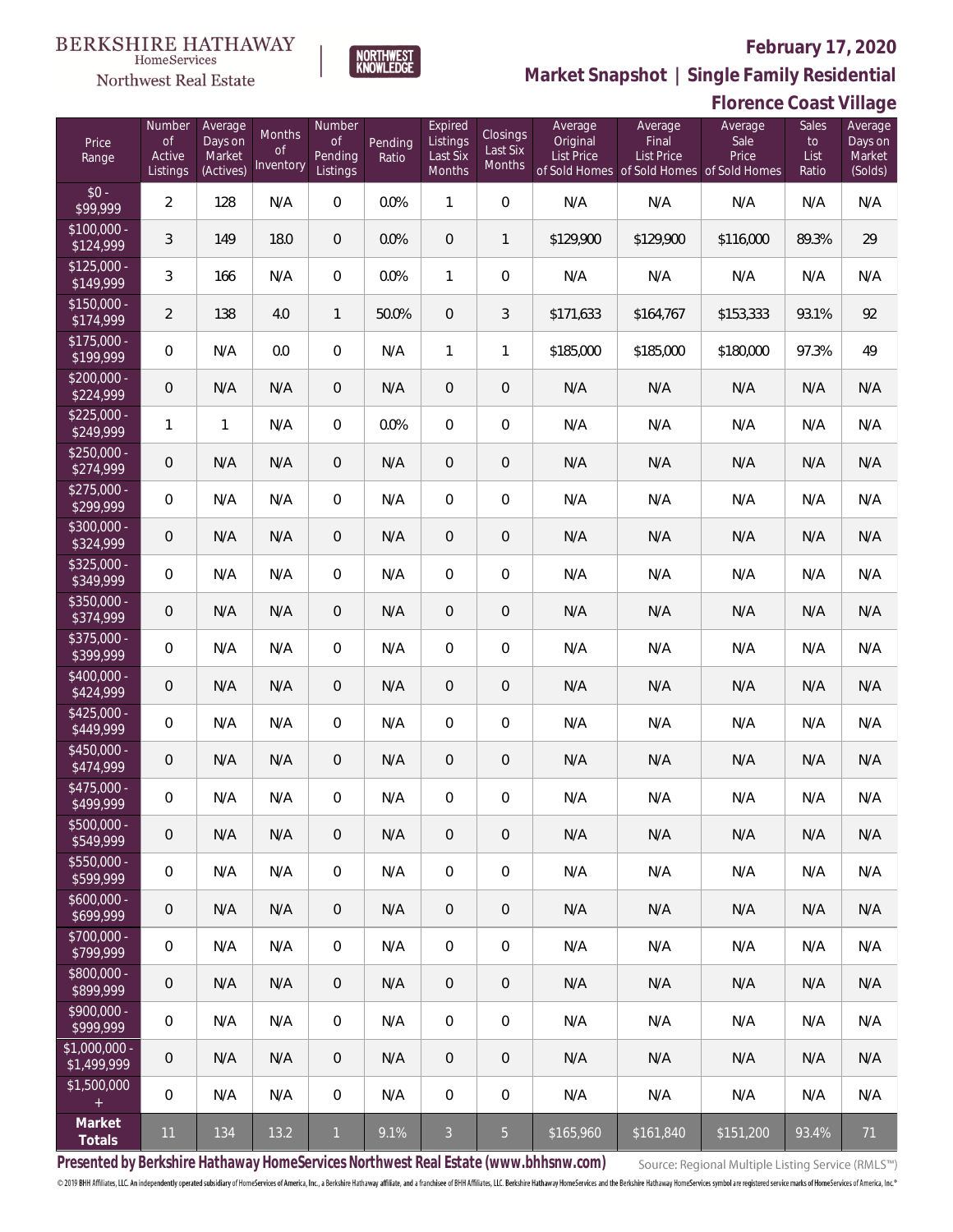

HomeServices

**Market Snapshot | Single Family Residential**

#### Northwest Real Estate Number **Expired** Average Average Number Average Months Closings of Days on of Listings Original Price Pending of Last Six Range Active Market Pending Ratio Last Six List Price Inventory Months Listings (Actives) Listings Months of Sold Homes  $$0 -$ \$100,000 - \$125,000 - \$150,000 - \$175,000 - \$200,000 - \$225,000 - \$250,000 - \$275,000 - \$300,000 - \$325,000 - \$350,000 - \$375,000 - \$400,000 -

**Florence Coast Village**

| Price<br>Range                | Number<br><b>of</b><br>Active<br>Listings | Average<br>Days on<br>Market<br>(Actives) | Months<br><b>of</b><br>Inventory | Number<br>of<br>Pending<br>Listings | Pending<br>Ratio | Expired<br>Listings<br>Last Six<br>Months | <b>Closings</b><br>Last Six<br>Months | Average<br>Original<br><b>List Price</b> | Average<br>Final<br><b>List Price</b><br>of Sold Homes of Sold Homes of Sold Homes | Average<br>Sale<br>Price | Sales<br>to<br>List<br>Ratio | Average<br>Days on<br>Market<br>(Solds) |
|-------------------------------|-------------------------------------------|-------------------------------------------|----------------------------------|-------------------------------------|------------------|-------------------------------------------|---------------------------------------|------------------------------------------|------------------------------------------------------------------------------------|--------------------------|------------------------------|-----------------------------------------|
| $$0 -$<br>\$99,999            | $\overline{2}$                            | 128                                       | N/A                              | $\overline{0}$                      | 0.0%             | 1                                         | $\overline{0}$                        | N/A                                      | N/A                                                                                | N/A                      | N/A                          | N/A                                     |
| $$100,000 -$<br>\$124,999     | 3                                         | 149                                       | 18.0                             | $\overline{0}$                      | 0.0%             | $\overline{0}$                            | 1                                     | \$129,900                                | \$129,900                                                                          | \$116,000                | 89.3%                        | 29                                      |
| $$125,000 -$<br>\$149,999     | 3                                         | 166                                       | N/A                              | $\overline{0}$                      | 0.0%             | $\mathbf{1}$                              | $\overline{0}$                        | N/A                                      | N/A                                                                                | N/A                      | N/A                          | N/A                                     |
| $$150,000 -$<br>\$174,999     | $\overline{2}$                            | 138                                       | 4.0                              | $\mathbf{1}$                        | 50.0%            | $\overline{0}$                            | 3                                     | \$171,633                                | \$164,767                                                                          | \$153,333                | 93.1%                        | 92                                      |
| $$175,000 -$<br>\$199,999     | $\overline{0}$                            | N/A                                       | 0.0                              | $\mathbf{0}$                        | N/A              | 1                                         | 1                                     | \$185,000                                | \$185,000                                                                          | \$180,000                | 97.3%                        | 49                                      |
| $$200,000 -$<br>\$224,999     | $\overline{0}$                            | N/A                                       | N/A                              | $\overline{0}$                      | N/A              | $\mathbf{0}$                              | $\mathbf 0$                           | N/A                                      | N/A                                                                                | N/A                      | N/A                          | N/A                                     |
| $$225,000 -$<br>\$249,999     | 1                                         | $\mathbf{1}$                              | N/A                              | $\overline{0}$                      | 0.0%             | $\overline{0}$                            | $\overline{0}$                        | N/A                                      | N/A                                                                                | N/A                      | N/A                          | N/A                                     |
| $$250,000 -$<br>\$274,999     | $\overline{0}$                            | N/A                                       | N/A                              | $\overline{0}$                      | N/A              | $\mathbf{0}$                              | $\mathbf 0$                           | N/A                                      | N/A                                                                                | N/A                      | N/A                          | N/A                                     |
| $$275,000 -$<br>\$299,999     | $\overline{0}$                            | N/A                                       | N/A                              | $\overline{0}$                      | N/A              | $\overline{0}$                            | $\overline{0}$                        | N/A                                      | N/A                                                                                | N/A                      | N/A                          | N/A                                     |
| $$300,000 -$<br>\$324,999     | $\overline{0}$                            | N/A                                       | N/A                              | $\overline{0}$                      | N/A              | $\overline{0}$                            | $\mathbf 0$                           | N/A                                      | N/A                                                                                | N/A                      | N/A                          | N/A                                     |
| $$325,000 -$<br>\$349,999     | $\mathbf 0$                               | N/A                                       | N/A                              | $\mathbf{0}$                        | N/A              | $\overline{0}$                            | $\overline{0}$                        | N/A                                      | N/A                                                                                | N/A                      | N/A                          | N/A                                     |
| $$350,000 -$<br>\$374,999     | $\overline{0}$                            | N/A                                       | N/A                              | $\overline{0}$                      | N/A              | $\mathbf{0}$                              | $\mathbf 0$                           | N/A                                      | N/A                                                                                | N/A                      | N/A                          | N/A                                     |
| $$375,000 -$<br>\$399,999     | $\mathbf 0$                               | N/A                                       | N/A                              | $\mathbf 0$                         | N/A              | $\overline{0}$                            | $\overline{0}$                        | N/A                                      | N/A                                                                                | N/A                      | N/A                          | N/A                                     |
| $$400,000 -$<br>\$424,999     | $\overline{0}$                            | N/A                                       | N/A                              | $\overline{0}$                      | N/A              | $\mathbf{0}$                              | $\mathbf 0$                           | N/A                                      | N/A                                                                                | N/A                      | N/A                          | N/A                                     |
| $$425,000 -$<br>\$449,999     | $\overline{0}$                            | N/A                                       | N/A                              | $\overline{0}$                      | N/A              | $\overline{0}$                            | $\overline{0}$                        | N/A                                      | N/A                                                                                | N/A                      | N/A                          | N/A                                     |
| $$450,000 -$<br>\$474,999     | $\overline{0}$                            | N/A                                       | N/A                              | $\overline{0}$                      | N/A              | $\overline{0}$                            | $\mathbf 0$                           | N/A                                      | N/A                                                                                | N/A                      | N/A                          | N/A                                     |
| $$475,000 -$<br>\$499,999     | $\overline{0}$                            | N/A                                       | N/A                              | $\overline{0}$                      | N/A              | $\overline{0}$                            | 0                                     | N/A                                      | N/A                                                                                | N/A                      | N/A                          | N/A                                     |
| \$500,000 -<br>\$549,999      | $\mathbf 0$                               | N/A                                       | N/A                              | 0                                   | N/A              | $\overline{0}$                            | $\overline{0}$                        | N/A                                      | N/A                                                                                | N/A                      | N/A                          | N/A                                     |
| $$550,000 -$<br>\$599,999     | $\mathbf 0$                               | N/A                                       | N/A                              | $\mathbf 0$                         | N/A              | $\overline{0}$                            | $\mathbf 0$                           | N/A                                      | N/A                                                                                | N/A                      | N/A                          | N/A                                     |
| $$600,000 -$<br>\$699,999     | $\overline{0}$                            | N/A                                       | N/A                              | $\overline{0}$                      | N/A              | $\theta$                                  | $\mathbf 0$                           | N/A                                      | N/A                                                                                | N/A                      | N/A                          | N/A                                     |
| $$700,000 -$<br>\$799,999     | $\mathbf 0$                               | N/A                                       | N/A                              | $\mathbf 0$                         | N/A              | $\overline{0}$                            | 0                                     | N/A                                      | N/A                                                                                | N/A                      | N/A                          | N/A                                     |
| $$800,000 -$<br>\$899,999     | $\overline{0}$                            | N/A                                       | N/A                              | $\overline{0}$                      | N/A              | $\theta$                                  | $\mathbf 0$                           | N/A                                      | N/A                                                                                | N/A                      | N/A                          | N/A                                     |
| $$900,000 -$<br>\$999,999     | $\mathbf 0$                               | N/A                                       | N/A                              | $\,0\,$                             | N/A              | $\overline{0}$                            | 0                                     | N/A                                      | N/A                                                                                | N/A                      | N/A                          | N/A                                     |
| $$1,000,000$ -<br>\$1,499,999 | $\overline{0}$                            | N/A                                       | N/A                              | $\overline{0}$                      | N/A              | $\theta$                                  | $\mathbf 0$                           | N/A                                      | N/A                                                                                | N/A                      | N/A                          | N/A                                     |
| \$1,500,000<br>$\pm$          | $\mathbf 0$                               | N/A                                       | N/A                              | $\overline{0}$                      | N/A              | $\mathbf 0$                               | 0                                     | N/A                                      | N/A                                                                                | N/A                      | N/A                          | N/A                                     |
| Market<br>Totals              | 11                                        | 134                                       | 13.2                             | $\mathbf{1}$                        | 9.1%             | $\mathfrak{Z}$                            | $\overline{5}$                        | \$165,960                                | \$161,840                                                                          | \$151,200                | 93.4%                        | 71                                      |

**Presented by Berkshire Hathaway HomeServices Northwest Real Estate (www.bhhsnw.com)**

Source: Regional Multiple Listing Service (RMLS™)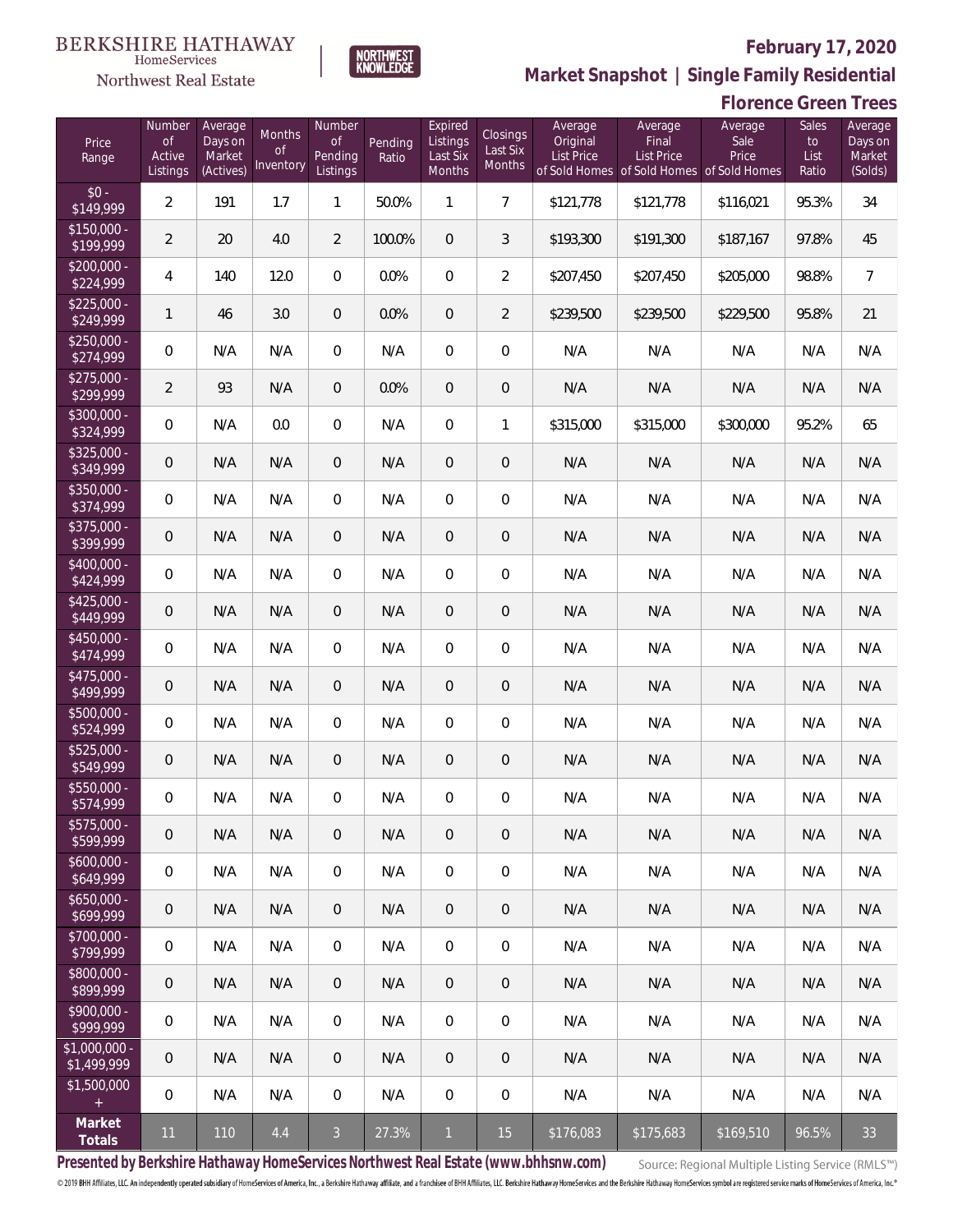

NORTHWEST<br>KNOWLEDGE

Northwest Real Estate

**Market Snapshot | Single Family Residential**

|                               |                                    |                                           |                                      |                                            |                  |                                           |                                |                                          |                                                                                    | <b>Florence Green Trees</b> |                              |                                         |
|-------------------------------|------------------------------------|-------------------------------------------|--------------------------------------|--------------------------------------------|------------------|-------------------------------------------|--------------------------------|------------------------------------------|------------------------------------------------------------------------------------|-----------------------------|------------------------------|-----------------------------------------|
| Price<br>Range                | Number<br>0f<br>Active<br>Listings | Average<br>Days on<br>Market<br>(Actives) | Months<br><sub>of</sub><br>Inventory | Number<br><b>of</b><br>Pending<br>Listings | Pending<br>Ratio | Expired<br>Listings<br>Last Six<br>Months | Closings<br>Last Six<br>Months | Average<br>Original<br><b>List Price</b> | Average<br>Final<br><b>List Price</b><br>of Sold Homes of Sold Homes of Sold Homes | Average<br>Sale<br>Price    | Sales<br>to<br>List<br>Ratio | Average<br>Days on<br>Market<br>(Solds) |
| $$0 -$<br>\$149,999           | $\overline{2}$                     | 191                                       | 1.7                                  | $\mathbf{1}$                               | 50.0%            | $\mathbf{1}$                              | $\overline{7}$                 | \$121,778                                | \$121,778                                                                          | \$116,021                   | 95.3%                        | 34                                      |
| $$150,000 -$<br>\$199,999     | $\overline{2}$                     | 20                                        | 4.0                                  | $\overline{2}$                             | 100.0%           | $\overline{0}$                            | 3                              | \$193,300                                | \$191,300                                                                          | \$187,167                   | 97.8%                        | 45                                      |
| $$200,000 -$<br>\$224,999     | 4                                  | 140                                       | 12.0                                 | $\overline{0}$                             | 0.0%             | $\boldsymbol{0}$                          | $\overline{2}$                 | \$207,450                                | \$207,450                                                                          | \$205,000                   | 98.8%                        | $\overline{7}$                          |
| $$225,000 -$<br>\$249,999     | 1                                  | 46                                        | 3.0                                  | $\mathbf 0$                                | 0.0%             | $\mathbf 0$                               | $\overline{2}$                 | \$239,500                                | \$239,500                                                                          | \$229,500                   | 95.8%                        | 21                                      |
| $$250,000 -$<br>\$274,999     | $\boldsymbol{0}$                   | N/A                                       | N/A                                  | $\overline{0}$                             | N/A              | $\boldsymbol{0}$                          | $\boldsymbol{0}$               | N/A                                      | N/A                                                                                | N/A                         | N/A                          | N/A                                     |
| $$275,000 -$<br>\$299,999     | $\overline{a}$                     | 93                                        | N/A                                  | 0                                          | 0.0%             | $\overline{0}$                            | $\boldsymbol{0}$               | N/A                                      | N/A                                                                                | N/A                         | N/A                          | N/A                                     |
| \$300,000 -<br>\$324,999      | $\boldsymbol{0}$                   | N/A                                       | 0.0                                  | $\overline{0}$                             | N/A              | 0                                         | 1                              | \$315,000                                | \$315,000                                                                          | \$300,000                   | 95.2%                        | 65                                      |
| $$325,000 -$<br>\$349,999     | $\mathbf 0$                        | N/A                                       | N/A                                  | 0                                          | N/A              | $\mathbf 0$                               | $\mathbf 0$                    | N/A                                      | N/A                                                                                | N/A                         | N/A                          | N/A                                     |
| $$350,000 -$<br>\$374,999     | $\boldsymbol{0}$                   | N/A                                       | N/A                                  | $\overline{0}$                             | N/A              | $\boldsymbol{0}$                          | $\mathbf 0$                    | N/A                                      | N/A                                                                                | N/A                         | N/A                          | N/A                                     |
| $$375,000 -$<br>\$399,999     | $\mathbf 0$                        | N/A                                       | N/A                                  | 0                                          | N/A              | $\mathbf 0$                               | $\boldsymbol{0}$               | N/A                                      | N/A                                                                                | N/A                         | N/A                          | N/A                                     |
| $$400,000 -$<br>\$424,999     | 0                                  | N/A                                       | N/A                                  | $\overline{0}$                             | N/A              | 0                                         | $\boldsymbol{0}$               | N/A                                      | N/A                                                                                | N/A                         | N/A                          | N/A                                     |
| $$425,000 -$<br>\$449,999     | $\mathbf 0$                        | N/A                                       | N/A                                  | $\theta$                                   | N/A              | 0                                         | $\overline{0}$                 | N/A                                      | N/A                                                                                | N/A                         | N/A                          | N/A                                     |
| $$450,000 -$<br>\$474,999     | $\boldsymbol{0}$                   | N/A                                       | N/A                                  | $\mathbf{0}$                               | N/A              | 0                                         | $\mathbf 0$                    | N/A                                      | N/A                                                                                | N/A                         | N/A                          | N/A                                     |
| $$475,000 -$<br>\$499,999     | $\mathbf 0$                        | N/A                                       | N/A                                  | $\theta$                                   | N/A              | 0                                         | $\overline{0}$                 | N/A                                      | N/A                                                                                | N/A                         | N/A                          | N/A                                     |
| $$500,000 -$<br>\$524,999     | 0                                  | N/A                                       | N/A                                  | 0                                          | N/A              | 0                                         | $\mathbf 0$                    | N/A                                      | N/A                                                                                | N/A                         | N/A                          | N/A                                     |
| $$525,000 -$<br>\$549,999     | 0                                  | N/A                                       | N/A                                  | 0                                          | N/A              | $\mathbf 0$                               | $\theta$                       | N/A                                      | N/A                                                                                | N/A                         | N/A                          | N/A                                     |
| \$550,000<br>\$574,999        | 0                                  | N/A                                       | N/A                                  | $\mathbf{0}$                               | N/A              | 0                                         | $\overline{0}$                 | N/A                                      | N/A                                                                                | N/A                         | N/A                          | N/A                                     |
| $$575,000 -$<br>\$599,999     | 0                                  | N/A                                       | N/A                                  | $\overline{0}$                             | N/A              | $\overline{0}$                            | $\overline{0}$                 | N/A                                      | N/A                                                                                | N/A                         | N/A                          | N/A                                     |
| $$600,000 -$<br>\$649,999     | 0                                  | N/A                                       | N/A                                  | 0                                          | N/A              | $\mathbf 0$                               | $\overline{0}$                 | N/A                                      | N/A                                                                                | N/A                         | N/A                          | N/A                                     |
| $$650,000 -$<br>\$699,999     | 0                                  | N/A                                       | N/A                                  | $\overline{0}$                             | N/A              | $\overline{0}$                            | $\overline{0}$                 | N/A                                      | N/A                                                                                | N/A                         | N/A                          | N/A                                     |
| $$700,000 -$<br>\$799,999     | 0                                  | N/A                                       | N/A                                  | 0                                          | N/A              | $\mathbf 0$                               | $\overline{0}$                 | N/A                                      | N/A                                                                                | N/A                         | N/A                          | N/A                                     |
| $$800,000 -$<br>\$899,999     | 0                                  | N/A                                       | N/A                                  | $\overline{0}$                             | N/A              | $\overline{0}$                            | $\overline{0}$                 | N/A                                      | N/A                                                                                | N/A                         | N/A                          | N/A                                     |
| $$900.000 -$<br>\$999,999     | 0                                  | N/A                                       | N/A                                  | 0                                          | N/A              | $\mathbf 0$                               | $\overline{0}$                 | N/A                                      | N/A                                                                                | N/A                         | N/A                          | N/A                                     |
| $$1,000,000$ -<br>\$1,499,999 | 0                                  | N/A                                       | N/A                                  | $\overline{0}$                             | N/A              | $\overline{0}$                            | $\overline{0}$                 | N/A                                      | N/A                                                                                | N/A                         | N/A                          | N/A                                     |
| \$1,500,000<br>$+$            | 0                                  | N/A                                       | N/A                                  | $\boldsymbol{0}$                           | N/A              | $\boldsymbol{0}$                          | $\overline{0}$                 | N/A                                      | N/A                                                                                | N/A                         | N/A                          | N/A                                     |
| Market<br>Totals              | 11                                 | 110                                       | 4.4                                  | $\mathfrak{Z}$                             | 27.3%            | $\mathbf{1}$                              | 15                             | \$176,083                                | \$175,683                                                                          | \$169,510                   | 96.5%                        | 33                                      |

**Presented by Berkshire Hathaway HomeServices Northwest Real Estate (www.bhhsnw.com)**

Source: Regional Multiple Listing Service (RMLS™)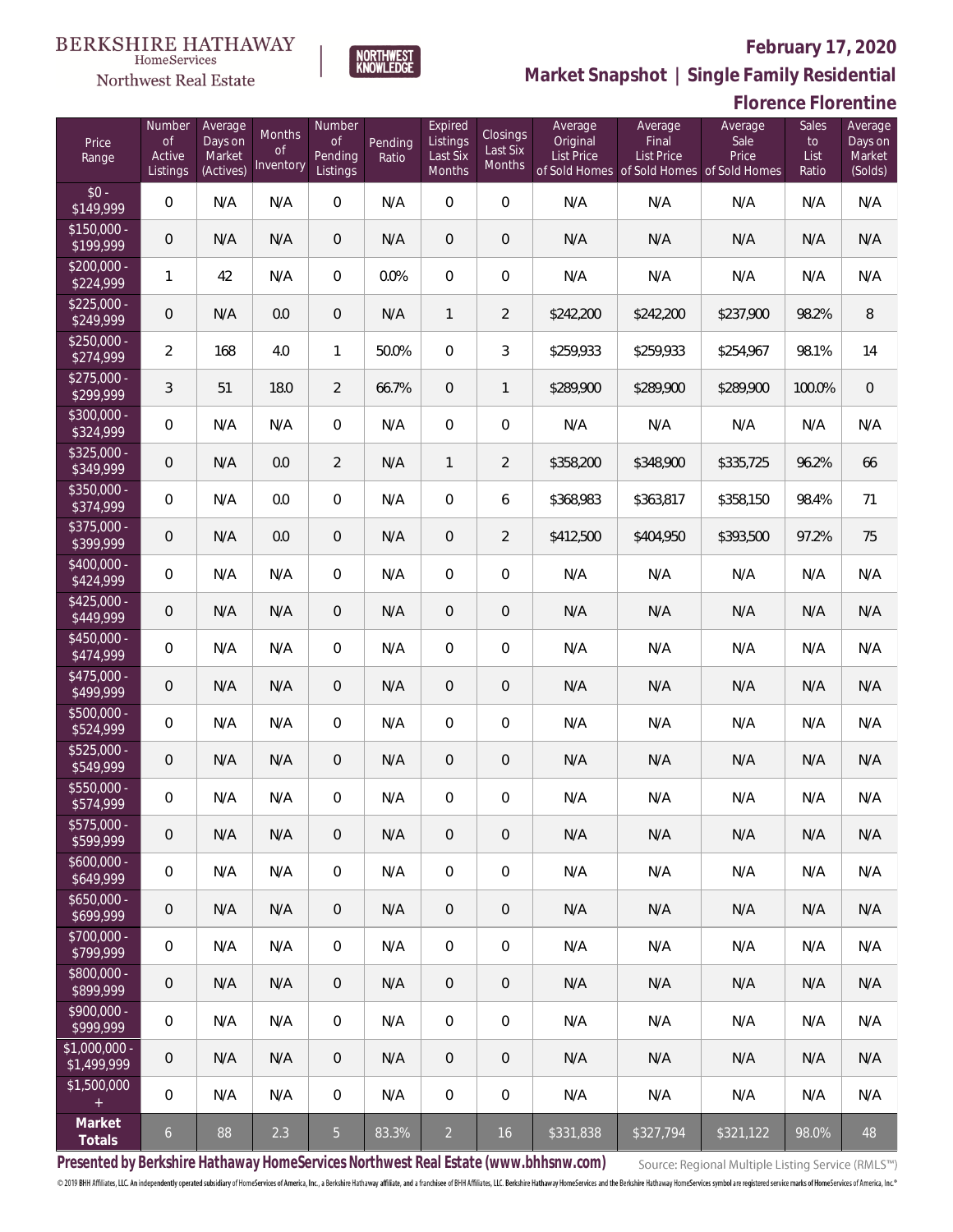

HomeServices Northwest Real Estate

**Market Snapshot | Single Family Residential**

### **Florence Florentine**

| Price<br>Range               | Number<br><b>of</b><br>Active<br>Listings | Average<br>Days on<br>Market<br>(Actives) | <b>Months</b><br>0f<br>Inventory | Number<br>Οf<br>Pending<br>Listings | Pending<br>Ratio | Expired<br>Listings<br>Last Six<br>Months | Closings<br>Last Six<br>Months | Average<br>Original<br><b>List Price</b> | Average<br>Final<br><b>List Price</b><br>of Sold Homes of Sold Homes of Sold Homes | Average<br>Sale<br>Price | Sales<br>to<br>List<br>Ratio | Average<br>Days on<br>Market<br>(Solds) |
|------------------------------|-------------------------------------------|-------------------------------------------|----------------------------------|-------------------------------------|------------------|-------------------------------------------|--------------------------------|------------------------------------------|------------------------------------------------------------------------------------|--------------------------|------------------------------|-----------------------------------------|
| $$0 -$<br>\$149,999          | $\overline{0}$                            | N/A                                       | N/A                              | $\Omega$                            | N/A              | $\Omega$                                  | $\overline{0}$                 | N/A                                      | N/A                                                                                | N/A                      | N/A                          | N/A                                     |
| $$150,000 -$<br>\$199,999    | $\overline{0}$                            | N/A                                       | N/A                              | $\overline{0}$                      | N/A              | $\overline{0}$                            | $\overline{0}$                 | N/A                                      | N/A                                                                                | N/A                      | N/A                          | N/A                                     |
| $$200,000 -$<br>\$224,999    | $\mathbf{1}$                              | 42                                        | N/A                              | $\Omega$                            | 0.0%             | $\overline{0}$                            | $\overline{0}$                 | N/A                                      | N/A                                                                                | N/A                      | N/A                          | N/A                                     |
| $$225,000 -$<br>\$249,999    | $\overline{0}$                            | N/A                                       | 0.0                              | $\overline{0}$                      | N/A              | $\mathbf{1}$                              | $\overline{2}$                 | \$242,200                                | \$242,200                                                                          | \$237,900                | 98.2%                        | 8                                       |
| $$250,000 -$<br>\$274,999    | $\overline{2}$                            | 168                                       | 4.0                              | $\mathbf{1}$                        | 50.0%            | $\Omega$                                  | 3                              | \$259,933                                | \$259,933                                                                          | \$254,967                | 98.1%                        | 14                                      |
| $$275,000 -$<br>\$299,999    | $\mathfrak{Z}$                            | 51                                        | 18.0                             | $\overline{2}$                      | 66.7%            | $\overline{0}$                            | 1                              | \$289,900                                | \$289,900                                                                          | \$289,900                | 100.0%                       | $\mathbf 0$                             |
| $$300,000 -$<br>\$324,999    | $\overline{0}$                            | N/A                                       | N/A                              | $\overline{0}$                      | N/A              | $\overline{0}$                            | $\overline{0}$                 | N/A                                      | N/A                                                                                | N/A                      | N/A                          | N/A                                     |
| $$325,000 -$<br>\$349,999    | $\overline{0}$                            | N/A                                       | 0.0                              | $\overline{2}$                      | N/A              | $\mathbf{1}$                              | $\overline{2}$                 | \$358,200                                | \$348,900                                                                          | \$335,725                | 96.2%                        | 66                                      |
| $$350,000 -$<br>\$374,999    | $\overline{0}$                            | N/A                                       | 0.0                              | $\overline{0}$                      | N/A              | $\overline{0}$                            | 6                              | \$368,983                                | \$363,817                                                                          | \$358,150                | 98.4%                        | 71                                      |
| $$375,000 -$<br>\$399,999    | $\overline{0}$                            | N/A                                       | 0.0                              | $\overline{0}$                      | N/A              | $\overline{0}$                            | $\overline{2}$                 | \$412,500                                | \$404,950                                                                          | \$393,500                | 97.2%                        | 75                                      |
| $$400,000 -$<br>\$424,999    | $\overline{0}$                            | N/A                                       | N/A                              | $\overline{0}$                      | N/A              | $\overline{0}$                            | $\overline{0}$                 | N/A                                      | N/A                                                                                | N/A                      | N/A                          | N/A                                     |
| $$425,000 -$<br>\$449,999    | $\overline{0}$                            | N/A                                       | N/A                              | $\overline{0}$                      | N/A              | $\overline{0}$                            | $\overline{0}$                 | N/A                                      | N/A                                                                                | N/A                      | N/A                          | N/A                                     |
| $$450,000 -$<br>\$474,999    | $\overline{0}$                            | N/A                                       | N/A                              | $\overline{0}$                      | N/A              | $\overline{0}$                            | $\overline{0}$                 | N/A                                      | N/A                                                                                | N/A                      | N/A                          | N/A                                     |
| $$475,000 -$<br>\$499,999    | $\overline{0}$                            | N/A                                       | N/A                              | $\overline{0}$                      | N/A              | $\overline{0}$                            | $\overline{0}$                 | N/A                                      | N/A                                                                                | N/A                      | N/A                          | N/A                                     |
| $$500,000 -$<br>\$524,999    | $\overline{0}$                            | N/A                                       | N/A                              | $\overline{0}$                      | N/A              | $\overline{0}$                            | $\overline{0}$                 | N/A                                      | N/A                                                                                | N/A                      | N/A                          | N/A                                     |
| $$525,000 -$<br>\$549,999    | $\overline{0}$                            | N/A                                       | N/A                              | $\overline{0}$                      | N/A              | $\overline{0}$                            | $\mathbf 0$                    | N/A                                      | N/A                                                                                | N/A                      | N/A                          | N/A                                     |
| \$550,000 -<br>\$574,999     | $\mathbf 0$                               | N/A                                       | N/A                              | $\mathbf{0}$                        | N/A              | 0                                         | 0                              | N/A                                      | N/A                                                                                | N/A                      | N/A                          | N/A                                     |
| $$575,000 -$<br>\$599,999    | $\mathsf{O}\xspace$                       | N/A                                       | N/A                              | $\mathbf 0$                         | N/A              | 0                                         | 0                              | N/A                                      | N/A                                                                                | N/A                      | N/A                          | N/A                                     |
| $$600,000 -$<br>\$649,999    | $\mathbf 0$                               | N/A                                       | N/A                              | 0                                   | N/A              | 0                                         | $\mathbf 0$                    | N/A                                      | N/A                                                                                | N/A                      | N/A                          | N/A                                     |
| $$650,000 -$<br>\$699,999    | $\mathsf{O}\xspace$                       | N/A                                       | N/A                              | $\mathbf 0$                         | N/A              | 0                                         | 0                              | N/A                                      | N/A                                                                                | N/A                      | N/A                          | N/A                                     |
| $$700,000 -$<br>\$799,999    | 0                                         | N/A                                       | N/A                              | 0                                   | N/A              | 0                                         | $\mathbf 0$                    | N/A                                      | N/A                                                                                | N/A                      | N/A                          | N/A                                     |
| $$800,000 -$<br>\$899,999    | $\mathbf 0$                               | N/A                                       | N/A                              | $\mathbf 0$                         | N/A              | 0                                         | 0                              | N/A                                      | N/A                                                                                | N/A                      | N/A                          | N/A                                     |
| $$900,000 -$<br>\$999,999    | 0                                         | N/A                                       | N/A                              | 0                                   | N/A              | 0                                         | $\boldsymbol{0}$               | N/A                                      | N/A                                                                                | N/A                      | N/A                          | N/A                                     |
| \$1,000,000 -<br>\$1,499,999 | $\theta$                                  | N/A                                       | N/A                              | $\mathbf 0$                         | N/A              | 0                                         | 0                              | N/A                                      | N/A                                                                                | N/A                      | N/A                          | N/A                                     |
| \$1,500,000<br>$\pm$         | $\overline{0}$                            | N/A                                       | N/A                              | 0                                   | N/A              | 0                                         | $\boldsymbol{0}$               | N/A                                      | N/A                                                                                | N/A                      | N/A                          | N/A                                     |
| Market<br>Totals             | $\mathfrak{b}$                            | 88                                        | 2.3                              | 5 <sub>1</sub>                      | 83.3%            | $\overline{2}$                            | 16                             | \$331,838                                | \$327,794                                                                          | \$321,122                | 98.0%                        | 48                                      |

**Presented by Berkshire Hathaway HomeServices Northwest Real Estate (www.bhhsnw.com)**

Source: Regional Multiple Listing Service (RMLS™)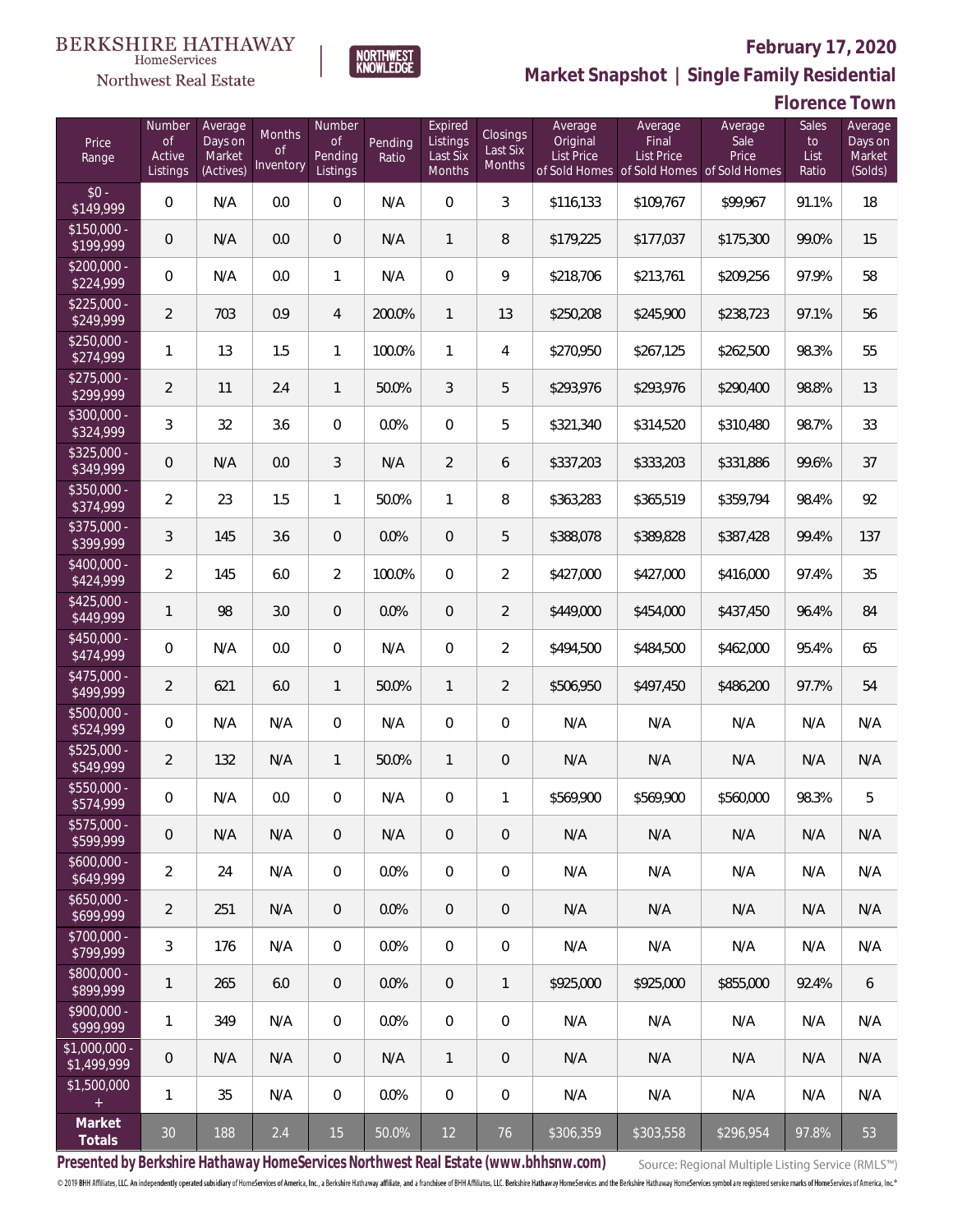

# **February 17, 2020**

**Market Snapshot | Single Family Residential**

### **Florence Town**

| Price<br>Range               | Number<br>of<br>Active<br>Listings | Average<br>Days on<br>Market<br>(Actives) | <b>Months</b><br>0f<br>Inventory | Number<br><b>of</b><br>Pending<br>Listings | Pending<br>Ratio | Expired<br>Listings<br>Last Six<br>Months | Closings<br>Last Six<br><b>Months</b> | Average<br>Original<br><b>List Price</b> | Average<br>Final<br><b>List Price</b><br>of Sold Homes of Sold Homes | Average<br>Sale<br>Price<br>of Sold Homes | Sales<br>to<br>List<br>Ratio | Average<br>Days on<br>Market<br>(Solds) |
|------------------------------|------------------------------------|-------------------------------------------|----------------------------------|--------------------------------------------|------------------|-------------------------------------------|---------------------------------------|------------------------------------------|----------------------------------------------------------------------|-------------------------------------------|------------------------------|-----------------------------------------|
| $$0 -$<br>\$149,999          | $\overline{0}$                     | N/A                                       | 0.0                              | $\overline{0}$                             | N/A              | $\overline{0}$                            | 3                                     | \$116,133                                | \$109,767                                                            | \$99,967                                  | 91.1%                        | 18                                      |
| $$150,000 -$<br>\$199,999    | 0                                  | N/A                                       | 0.0                              | $\overline{0}$                             | N/A              | $\mathbf{1}$                              | 8                                     | \$179,225                                | \$177,037                                                            | \$175,300                                 | 99.0%                        | 15                                      |
| $$200,000 -$<br>\$224,999    | $\overline{0}$                     | N/A                                       | 0.0                              | $\mathbf{1}$                               | N/A              | $\overline{0}$                            | 9                                     | \$218,706                                | \$213,761                                                            | \$209,256                                 | 97.9%                        | 58                                      |
| $$225,000 -$<br>\$249,999    | $\overline{2}$                     | 703                                       | 0.9                              | 4                                          | 200.0%           | $\mathbf{1}$                              | 13                                    | \$250,208                                | \$245,900                                                            | \$238,723                                 | 97.1%                        | 56                                      |
| $$250,000 -$<br>\$274,999    | 1                                  | 13                                        | 1.5                              | $\mathbf{1}$                               | 100.0%           | $\mathbf{1}$                              | $\overline{4}$                        | \$270,950                                | \$267,125                                                            | \$262,500                                 | 98.3%                        | 55                                      |
| $$275,000 -$<br>\$299,999    | $\overline{2}$                     | 11                                        | 2.4                              | $\mathbf{1}$                               | 50.0%            | 3                                         | 5                                     | \$293,976                                | \$293,976                                                            | \$290,400                                 | 98.8%                        | 13                                      |
| $$300,000 -$<br>\$324,999    | 3                                  | 32                                        | 3.6                              | $\overline{0}$                             | 0.0%             | $\overline{0}$                            | 5                                     | \$321,340                                | \$314,520                                                            | \$310,480                                 | 98.7%                        | 33                                      |
| $$325,000 -$<br>\$349,999    | 0                                  | N/A                                       | 0.0                              | 3                                          | N/A              | $\overline{2}$                            | 6                                     | \$337,203                                | \$333,203                                                            | \$331,886                                 | 99.6%                        | 37                                      |
| $$350,000 -$<br>\$374,999    | $\overline{2}$                     | 23                                        | 1.5                              | $\mathbf{1}$                               | 50.0%            | $\mathbf{1}$                              | 8                                     | \$363,283                                | \$365,519                                                            | \$359,794                                 | 98.4%                        | 92                                      |
| $$375,000 -$<br>\$399,999    | 3                                  | 145                                       | 3.6                              | $\overline{0}$                             | 0.0%             | $\overline{0}$                            | 5                                     | \$388,078                                | \$389,828                                                            | \$387,428                                 | 99.4%                        | 137                                     |
| $$400,000 -$<br>\$424,999    | $\overline{2}$                     | 145                                       | 6.0                              | $\overline{2}$                             | 100.0%           | $\overline{0}$                            | $\overline{2}$                        | \$427,000                                | \$427,000                                                            | \$416,000                                 | 97.4%                        | 35                                      |
| $$425,000 -$<br>\$449,999    | $\mathbf{1}$                       | 98                                        | 3.0                              | $\overline{0}$                             | 0.0%             | $\overline{0}$                            | $\overline{2}$                        | \$449,000                                | \$454,000                                                            | \$437,450                                 | 96.4%                        | 84                                      |
| $$450,000 -$<br>\$474,999    | $\overline{0}$                     | N/A                                       | 0.0                              | $\overline{0}$                             | N/A              | $\overline{0}$                            | $\overline{2}$                        | \$494,500                                | \$484,500                                                            | \$462,000                                 | 95.4%                        | 65                                      |
| $$475,000 -$<br>\$499,999    | $\overline{2}$                     | 621                                       | 6.0                              | $\mathbf{1}$                               | 50.0%            | $\mathbf{1}$                              | $\overline{2}$                        | \$506,950                                | \$497,450                                                            | \$486,200                                 | 97.7%                        | 54                                      |
| $$500,000 -$<br>\$524,999    | $\overline{0}$                     | N/A                                       | N/A                              | $\overline{0}$                             | N/A              | $\overline{0}$                            | $\overline{0}$                        | N/A                                      | N/A                                                                  | N/A                                       | N/A                          | N/A                                     |
| $$525,000 -$<br>\$549,999    | $\overline{2}$                     | 132                                       | N/A                              | $\mathbf{1}$                               | 50.0%            | $\mathbf{1}$                              | $\mathbf 0$                           | N/A                                      | N/A                                                                  | N/A                                       | N/A                          | N/A                                     |
| \$550,000 -<br>\$574,999     | 0                                  | N/A                                       | 0.0                              | $\overline{0}$                             | N/A              | $\mathbf 0$                               | 1                                     | \$569,900                                | \$569,900                                                            | \$560,000                                 | 98.3%                        | 5                                       |
| $$575,000 -$<br>\$599,999    | 0                                  | N/A                                       | N/A                              | $\overline{0}$                             | N/A              | $\overline{0}$                            | $\mathbf 0$                           | N/A                                      | N/A                                                                  | N/A                                       | N/A                          | N/A                                     |
| $$600,000 -$<br>\$649,999    | $\overline{2}$                     | 24                                        | N/A                              | $\mathbf 0$                                | 0.0%             | $\overline{0}$                            | $\mathbf 0$                           | N/A                                      | N/A                                                                  | N/A                                       | N/A                          | N/A                                     |
| $$650,000 -$<br>\$699,999    | $\overline{2}$                     | 251                                       | N/A                              | $\overline{0}$                             | 0.0%             | $\overline{0}$                            | 0                                     | N/A                                      | N/A                                                                  | N/A                                       | N/A                          | N/A                                     |
| $$700,000 -$<br>\$799,999    | 3                                  | 176                                       | N/A                              | $\mathbf 0$                                | 0.0%             | $\mathbf 0$                               | $\mathbf 0$                           | N/A                                      | N/A                                                                  | N/A                                       | N/A                          | N/A                                     |
| $$800,000 -$<br>\$899,999    | 1                                  | 265                                       | 6.0                              | $\overline{0}$                             | 0.0%             | $\overline{0}$                            | $\mathbf{1}$                          | \$925,000                                | \$925,000                                                            | \$855,000                                 | 92.4%                        | 6                                       |
| $$900,000 -$<br>\$999,999    | 1                                  | 349                                       | N/A                              | $\mathbf 0$                                | 0.0%             | $\mathbf 0$                               | $\mathbf 0$                           | N/A                                      | N/A                                                                  | N/A                                       | N/A                          | N/A                                     |
| \$1,000,000 -<br>\$1,499,999 | $\overline{0}$                     | N/A                                       | N/A                              | $\overline{0}$                             | N/A              | $\mathbf{1}$                              | 0                                     | N/A                                      | N/A                                                                  | N/A                                       | N/A                          | N/A                                     |
| \$1,500,000<br>$\pm$         | 1                                  | 35                                        | N/A                              | $\overline{0}$                             | 0.0%             | $\mathbf 0$                               | 0                                     | N/A                                      | N/A                                                                  | N/A                                       | N/A                          | N/A                                     |
| Market<br>Totals             | $30\,$                             | 188                                       | 2.4                              | 15                                         | 50.0%            | 12                                        | 76                                    | \$306,359                                | \$303,558                                                            | \$296,954                                 | 97.8%                        | 53                                      |

NORTHWEST<br>KNOWLEDGE

**Presented by Berkshire Hathaway HomeServices Northwest Real Estate (www.bhhsnw.com)**

Source: Regional Multiple Listing Service (RMLS™)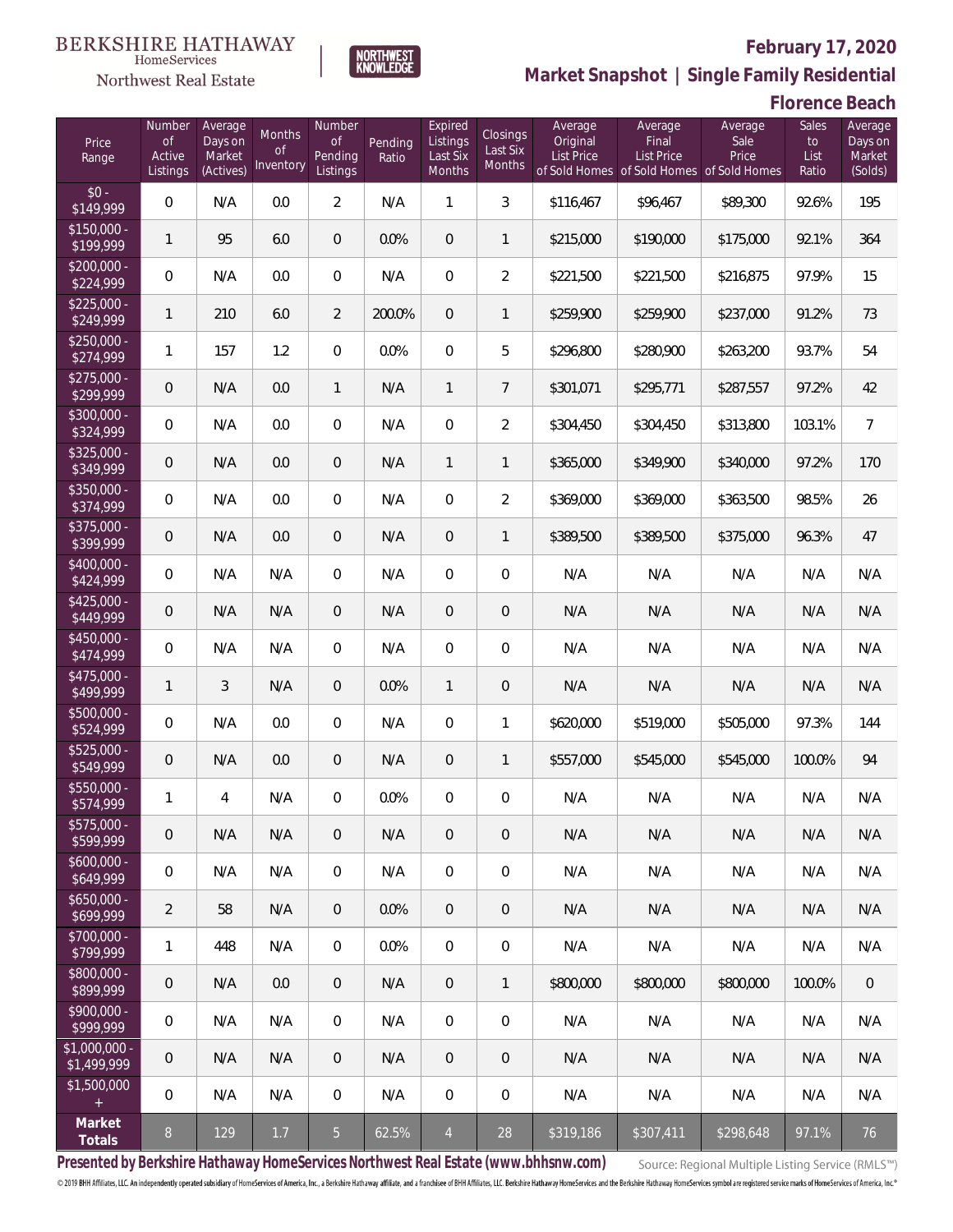

# **February 17, 2020**



**Florence Beach**

| Price<br>Range               | Number<br><b>of</b><br>Active<br>Listings | Average<br>Days on<br>Market<br>(Actives) | Months<br>Οf<br>Inventory | Number<br>Οf<br>Pending<br>Listings | Pending<br>Ratio | Expired<br>Listings<br>Last Six<br>Months | Closings<br>Last Six<br>Months | Average<br>Original<br><b>List Price</b> | Average<br>Final<br><b>List Price</b><br>of Sold Homes of Sold Homes of Sold Homes | Average<br>Sale<br>Price | Sales<br>to<br>List<br>Ratio | Average<br>Days on<br>Market<br>(Solds) |
|------------------------------|-------------------------------------------|-------------------------------------------|---------------------------|-------------------------------------|------------------|-------------------------------------------|--------------------------------|------------------------------------------|------------------------------------------------------------------------------------|--------------------------|------------------------------|-----------------------------------------|
| $$0 -$<br>\$149,999          | $\overline{0}$                            | N/A                                       | 0.0                       | $\overline{2}$                      | N/A              | $\mathbf{1}$                              | $\mathfrak{Z}$                 | \$116,467                                | \$96,467                                                                           | \$89,300                 | 92.6%                        | 195                                     |
| $$150,000 -$<br>\$199,999    | $\mathbf{1}$                              | 95                                        | 6.0                       | $\overline{0}$                      | 0.0%             | $\overline{0}$                            | $\mathbf{1}$                   | \$215,000                                | \$190,000                                                                          | \$175,000                | 92.1%                        | 364                                     |
| $$200,000 -$<br>\$224,999    | 0                                         | N/A                                       | 0.0                       | $\overline{0}$                      | N/A              | $\overline{0}$                            | $\overline{2}$                 | \$221,500                                | \$221,500                                                                          | \$216,875                | 97.9%                        | 15                                      |
| $$225,000 -$<br>\$249,999    | 1                                         | 210                                       | 6.0                       | $\overline{2}$                      | 200.0%           | $\overline{0}$                            | $\mathbf{1}$                   | \$259,900                                | \$259,900                                                                          | \$237,000                | 91.2%                        | 73                                      |
| $$250,000 -$<br>\$274,999    | 1                                         | 157                                       | 1.2                       | $\mathbf 0$                         | 0.0%             | $\mathbf 0$                               | 5                              | \$296,800                                | \$280,900                                                                          | \$263,200                | 93.7%                        | 54                                      |
| $$275,000 -$<br>\$299,999    | $\overline{0}$                            | N/A                                       | 0.0                       | $\mathbf{1}$                        | N/A              | $\mathbf{1}$                              | $\overline{7}$                 | \$301,071                                | \$295,771                                                                          | \$287,557                | 97.2%                        | 42                                      |
| $$300,000 -$<br>\$324,999    | 0                                         | N/A                                       | 0.0                       | $\overline{0}$                      | N/A              | $\mathbf 0$                               | $\overline{2}$                 | \$304,450                                | \$304,450                                                                          | \$313,800                | 103.1%                       | $\overline{7}$                          |
| $$325,000 -$<br>\$349,999    | $\overline{0}$                            | N/A                                       | 0.0                       | $\overline{0}$                      | N/A              | $\mathbf{1}$                              | 1                              | \$365,000                                | \$349,900                                                                          | \$340,000                | 97.2%                        | 170                                     |
| $$350,000 -$<br>\$374,999    | 0                                         | N/A                                       | 0.0                       | $\overline{0}$                      | N/A              | $\overline{0}$                            | $\overline{2}$                 | \$369,000                                | \$369,000                                                                          | \$363,500                | 98.5%                        | 26                                      |
| $$375,000 -$<br>\$399,999    | $\overline{0}$                            | N/A                                       | 0.0                       | $\overline{0}$                      | N/A              | $\overline{0}$                            | $\mathbf{1}$                   | \$389,500                                | \$389,500                                                                          | \$375,000                | 96.3%                        | 47                                      |
| $$400,000 -$<br>\$424,999    | 0                                         | N/A                                       | N/A                       | $\circ$                             | N/A              | $\overline{0}$                            | $\overline{0}$                 | N/A                                      | N/A                                                                                | N/A                      | N/A                          | N/A                                     |
| $$425,000 -$<br>\$449,999    | $\overline{0}$                            | N/A                                       | N/A                       | $\overline{0}$                      | N/A              | $\overline{0}$                            | $\mathbf 0$                    | N/A                                      | N/A                                                                                | N/A                      | N/A                          | N/A                                     |
| $$450,000 -$<br>\$474,999    | 0                                         | N/A                                       | N/A                       | $\circ$                             | N/A              | $\Omega$                                  | $\overline{0}$                 | N/A                                      | N/A                                                                                | N/A                      | N/A                          | N/A                                     |
| $$475,000 -$<br>\$499,999    | $\mathbf{1}$                              | $\overline{3}$                            | N/A                       | $\overline{0}$                      | 0.0%             | $\mathbf{1}$                              | $\mathbf 0$                    | N/A                                      | N/A                                                                                | N/A                      | N/A                          | N/A                                     |
| $$500,000 -$<br>\$524,999    | 0                                         | N/A                                       | 0.0                       | $\overline{0}$                      | N/A              | $\mathbf 0$                               | $\mathbf{1}$                   | \$620,000                                | \$519,000                                                                          | \$505,000                | 97.3%                        | 144                                     |
| \$525,000 -<br>\$549,999     | $\overline{0}$                            | N/A                                       | 0.0                       | $\overline{0}$                      | N/A              | $\overline{0}$                            | 1                              | \$557,000                                | \$545,000                                                                          | \$545,000                | 100.0%                       | 94                                      |
| $$550,000 -$<br>\$574,999    | 1                                         | $\overline{4}$                            | N/A                       | $\circ$                             | 0.0%             | $\overline{0}$                            | $\mathbf 0$                    | N/A                                      | N/A                                                                                | N/A                      | N/A                          | N/A                                     |
| \$575,000 -<br>\$599,999     | 0                                         | N/A                                       | N/A                       | $\overline{0}$                      | N/A              | $\mathbf 0$                               | $\mathbf 0$                    | N/A                                      | N/A                                                                                | N/A                      | N/A                          | N/A                                     |
| $$600,000 -$<br>\$649,999    | $\boldsymbol{0}$                          | N/A                                       | N/A                       | $\overline{0}$                      | N/A              | $\mathbf 0$                               | $\mathbf 0$                    | N/A                                      | N/A                                                                                | N/A                      | N/A                          | N/A                                     |
| $$650,000 -$<br>\$699,999    | $\overline{2}$                            | 58                                        | N/A                       | $\overline{0}$                      | 0.0%             | $\overline{0}$                            | $\mathbf 0$                    | N/A                                      | N/A                                                                                | N/A                      | N/A                          | N/A                                     |
| $$700,000 -$<br>\$799,999    | 1                                         | 448                                       | N/A                       | $\overline{0}$                      | 0.0%             | $\mathbf 0$                               | $\mathbf 0$                    | N/A                                      | N/A                                                                                | N/A                      | N/A                          | N/A                                     |
| $$800,000 -$<br>\$899,999    | $\boldsymbol{0}$                          | N/A                                       | 0.0                       | $\overline{0}$                      | N/A              | $\mathbf{0}$                              | $\mathbf{1}$                   | \$800,000                                | \$800,000                                                                          | \$800,000                | 100.0%                       | $\mathbf{0}$                            |
| $$900,000 -$<br>\$999,999    | 0                                         | N/A                                       | N/A                       | $\overline{0}$                      | N/A              | $\mathbf 0$                               | $\mathbf 0$                    | N/A                                      | N/A                                                                                | N/A                      | N/A                          | N/A                                     |
| \$1,000,000 -<br>\$1,499,999 | 0                                         | N/A                                       | N/A                       | $\overline{0}$                      | N/A              | $\overline{0}$                            | 0                              | N/A                                      | N/A                                                                                | N/A                      | N/A                          | N/A                                     |
| \$1,500,000<br>$\pm$         | $\mathbf 0$                               | N/A                                       | N/A                       | $\mathbf 0$                         | N/A              | 0                                         | $\mathbf 0$                    | N/A                                      | N/A                                                                                | N/A                      | N/A                          | N/A                                     |
| Market<br>Totals             | $8\,$                                     | 129                                       | 1.7                       | 5 <sub>o</sub>                      | 62.5%            | $\overline{4}$                            | 28                             | \$319,186                                | \$307,411                                                                          | \$298,648                | 97.1%                        | 76                                      |

**NORTHWEST**<br>KNOWLEDGE

**Presented by Berkshire Hathaway HomeServices Northwest Real Estate (www.bhhsnw.com)**

Source: Regional Multiple Listing Service (RMLS™)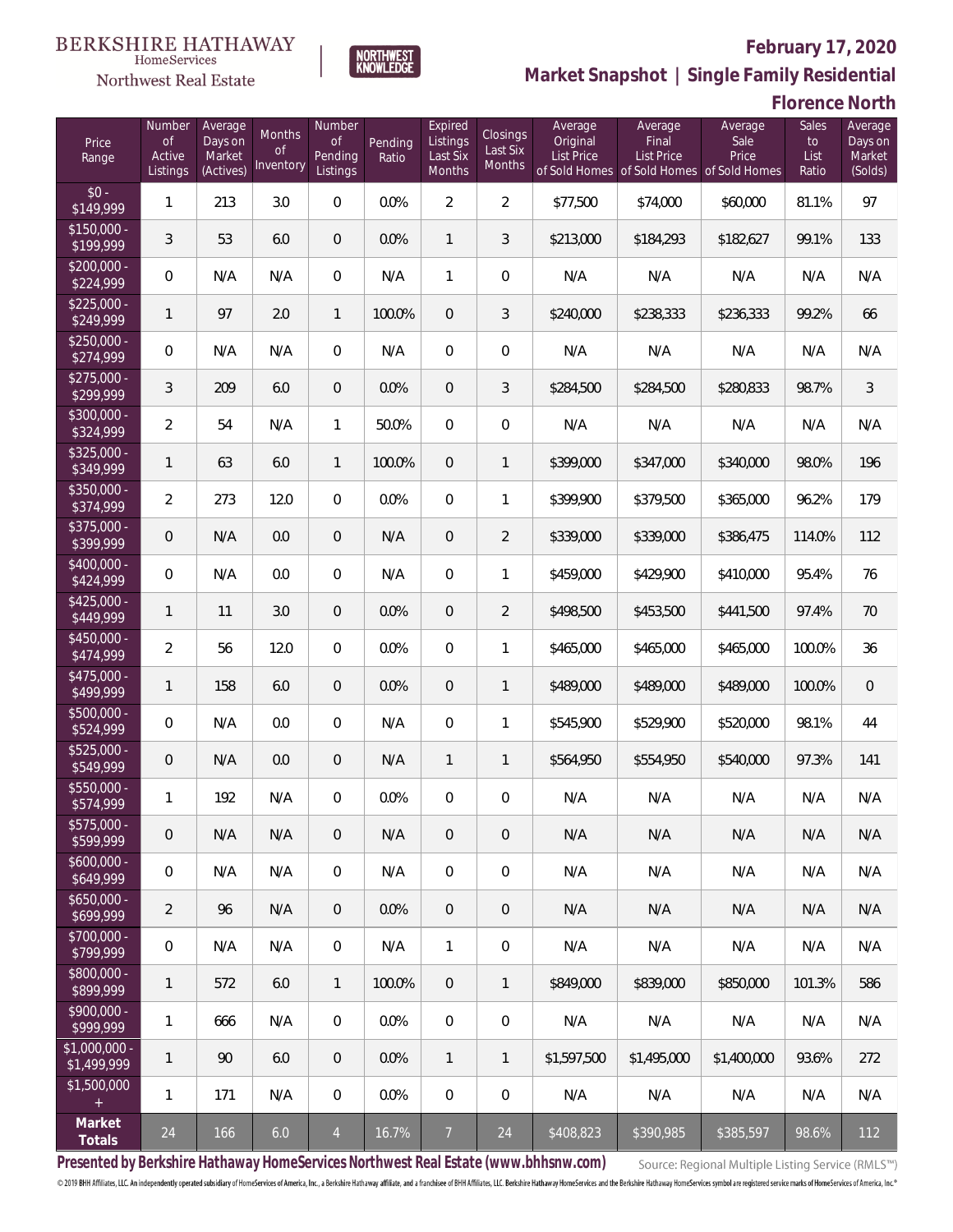NORTHWEST<br>KNOWLEDGE



# **February 17, 2020**

**Market Snapshot | Single Family Residential**

## **Florence North**

| Price<br>Range               | Number<br>of<br>Active<br>Listings | Average<br>Days on<br>Market<br>(Actives) | Months<br>Οf<br>Inventory | Number<br>Οf<br>Pending<br>Listings | Pending<br>Ratio | Expired<br>Listings<br>Last Six<br>Months | Closings<br>Last Six<br>Months | Average<br>Original<br><b>List Price</b> | Average<br>Final<br><b>List Price</b><br>of Sold Homes of Sold Homes of Sold Homes | Average<br>Sale<br>Price | Sales<br>to<br>List<br>Ratio | Average<br>Days on<br>Market<br>(Solds) |
|------------------------------|------------------------------------|-------------------------------------------|---------------------------|-------------------------------------|------------------|-------------------------------------------|--------------------------------|------------------------------------------|------------------------------------------------------------------------------------|--------------------------|------------------------------|-----------------------------------------|
| $$0 -$<br>\$149,999          | 1                                  | 213                                       | 3.0                       | $\overline{0}$                      | 0.0%             | $\overline{2}$                            | $\overline{2}$                 | \$77,500                                 | \$74,000                                                                           | \$60,000                 | 81.1%                        | 97                                      |
| $$150,000 -$<br>\$199,999    | 3                                  | 53                                        | 6.0                       | $\overline{0}$                      | 0.0%             | $\mathbf{1}$                              | 3                              | \$213,000                                | \$184,293                                                                          | \$182,627                | 99.1%                        | 133                                     |
| $$200,000 -$<br>\$224,999    | $\overline{0}$                     | N/A                                       | N/A                       | $\overline{0}$                      | N/A              | $\mathbf{1}$                              | $\overline{0}$                 | N/A                                      | N/A                                                                                | N/A                      | N/A                          | N/A                                     |
| $$225,000 -$<br>\$249,999    | $\mathbf{1}$                       | 97                                        | 2.0                       | $\mathbf{1}$                        | 100.0%           | $\overline{0}$                            | $\mathfrak{Z}$                 | \$240,000                                | \$238,333                                                                          | \$236,333                | 99.2%                        | 66                                      |
| $$250,000 -$<br>\$274,999    | $\overline{0}$                     | N/A                                       | N/A                       | $\overline{0}$                      | N/A              | $\overline{0}$                            | $\overline{0}$                 | N/A                                      | N/A                                                                                | N/A                      | N/A                          | N/A                                     |
| $$275,000 -$<br>\$299,999    | 3                                  | 209                                       | 6.0                       | $\overline{0}$                      | 0.0%             | $\overline{0}$                            | 3                              | \$284,500                                | \$284,500                                                                          | \$280,833                | 98.7%                        | 3                                       |
| $$300,000 -$<br>\$324,999    | $\overline{2}$                     | 54                                        | N/A                       | $\mathbf{1}$                        | 50.0%            | $\overline{0}$                            | $\overline{0}$                 | N/A                                      | N/A                                                                                | N/A                      | N/A                          | N/A                                     |
| $$325,000 -$<br>\$349,999    | $\mathbf{1}$                       | 63                                        | 6.0                       | $\mathbf{1}$                        | 100.0%           | $\overline{0}$                            | $\mathbf{1}$                   | \$399,000                                | \$347,000                                                                          | \$340,000                | 98.0%                        | 196                                     |
| $$350,000 -$<br>\$374,999    | $\overline{2}$                     | 273                                       | 12.0                      | $\overline{0}$                      | 0.0%             | $\overline{0}$                            | $\mathbf{1}$                   | \$399,900                                | \$379,500                                                                          | \$365,000                | 96.2%                        | 179                                     |
| $$375,000 -$<br>\$399,999    | $\overline{0}$                     | N/A                                       | 0.0                       | $\overline{0}$                      | N/A              | $\overline{0}$                            | 2                              | \$339,000                                | \$339,000                                                                          | \$386,475                | 114.0%                       | 112                                     |
| $$400,000 -$<br>\$424,999    | $\overline{0}$                     | N/A                                       | 0.0                       | $\overline{0}$                      | N/A              | $\overline{0}$                            | $\mathbf{1}$                   | \$459,000                                | \$429,900                                                                          | \$410,000                | 95.4%                        | 76                                      |
| $$425,000 -$<br>\$449,999    | $\mathbf{1}$                       | 11                                        | 3.0                       | $\overline{0}$                      | 0.0%             | $\overline{0}$                            | $\overline{2}$                 | \$498,500                                | \$453,500                                                                          | \$441,500                | 97.4%                        | 70                                      |
| $$450,000 -$<br>\$474,999    | $\overline{2}$                     | 56                                        | 12.0                      | $\overline{0}$                      | 0.0%             | $\overline{0}$                            | $\mathbf{1}$                   | \$465,000                                | \$465,000                                                                          | \$465,000                | 100.0%                       | 36                                      |
| $$475,000 -$<br>\$499,999    | $\mathbf{1}$                       | 158                                       | 6.0                       | $\overline{0}$                      | 0.0%             | $\overline{0}$                            | $\mathbf{1}$                   | \$489,000                                | \$489,000                                                                          | \$489,000                | 100.0%                       | $\overline{0}$                          |
| $$500,000 -$<br>\$524,999    | $\overline{0}$                     | N/A                                       | 0.0                       | $\overline{0}$                      | N/A              | $\overline{0}$                            | $\mathbf{1}$                   | \$545,900                                | \$529,900                                                                          | \$520,000                | 98.1%                        | 44                                      |
| $$525,000 -$<br>\$549,999    | 0                                  | N/A                                       | 0.0                       | $\overline{0}$                      | N/A              | $\mathbf{1}$                              | $\mathbf{1}$                   | \$564,950                                | \$554,950                                                                          | \$540,000                | 97.3%                        | 141                                     |
| $$550,000 -$<br>\$574,999    | 1                                  | 192                                       | N/A                       | $\overline{0}$                      | 0.0%             | $\overline{0}$                            | $\boldsymbol{0}$               | N/A                                      | N/A                                                                                | N/A                      | N/A                          | N/A                                     |
| $$575,000 -$<br>\$599,999    | 0                                  | N/A                                       | N/A                       | $\mathbf 0$                         | N/A              | $\overline{0}$                            | $\overline{0}$                 | N/A                                      | N/A                                                                                | N/A                      | N/A                          | N/A                                     |
| $$600,000 -$<br>\$649,999    | $\mathbf 0$                        | N/A                                       | N/A                       | $\mathbf 0$                         | N/A              | $\mathbf 0$                               | $\mathbf 0$                    | N/A                                      | N/A                                                                                | N/A                      | N/A                          | N/A                                     |
| $$650,000 -$<br>\$699,999    | $\overline{2}$                     | 96                                        | N/A                       | $\overline{0}$                      | 0.0%             | $\sqrt{0}$                                | $\overline{0}$                 | N/A                                      | N/A                                                                                | N/A                      | N/A                          | N/A                                     |
| $$700,000 -$<br>\$799,999    | 0                                  | N/A                                       | N/A                       | $\overline{0}$                      | N/A              | $\mathbf{1}$                              | $\overline{0}$                 | N/A                                      | N/A                                                                                | N/A                      | N/A                          | N/A                                     |
| $$800,000 -$<br>\$899,999    | 1                                  | 572                                       | 6.0                       | $\overline{1}$                      | 100.0%           | $\sqrt{0}$                                | 1                              | \$849,000                                | \$839,000                                                                          | \$850,000                | 101.3%                       | 586                                     |
| $$900,000 -$<br>\$999,999    | 1                                  | 666                                       | N/A                       | $\mathbf 0$                         | 0.0%             | $\mathbf 0$                               | $\mathbf 0$                    | N/A                                      | N/A                                                                                | N/A                      | N/A                          | N/A                                     |
| \$1,000,000 -<br>\$1,499,999 | 1                                  | 90                                        | 6.0                       | $\mathbf 0$                         | 0.0%             | $\mathbf{1}$                              | $\mathbf{1}$                   | \$1,597,500                              | \$1,495,000                                                                        | \$1,400,000              | 93.6%                        | 272                                     |
| \$1,500,000<br>$\pm$         | $\mathbf{1}$                       | 171                                       | N/A                       | $\mathbf 0$                         | 0.0%             | $\mathbf 0$                               | $\mathbf 0$                    | N/A                                      | N/A                                                                                | N/A                      | N/A                          | N/A                                     |
| Market<br>Totals             | 24                                 | 166                                       | 6.0                       | $\overline{4}$                      | 16.7%            | $\overline{7}$                            | 24                             | \$408,823                                | \$390,985                                                                          | \$385,597                | 98.6%                        | 112                                     |

**Presented by Berkshire Hathaway HomeServices Northwest Real Estate (www.bhhsnw.com)**

Source: Regional Multiple Listing Service (RMLS™)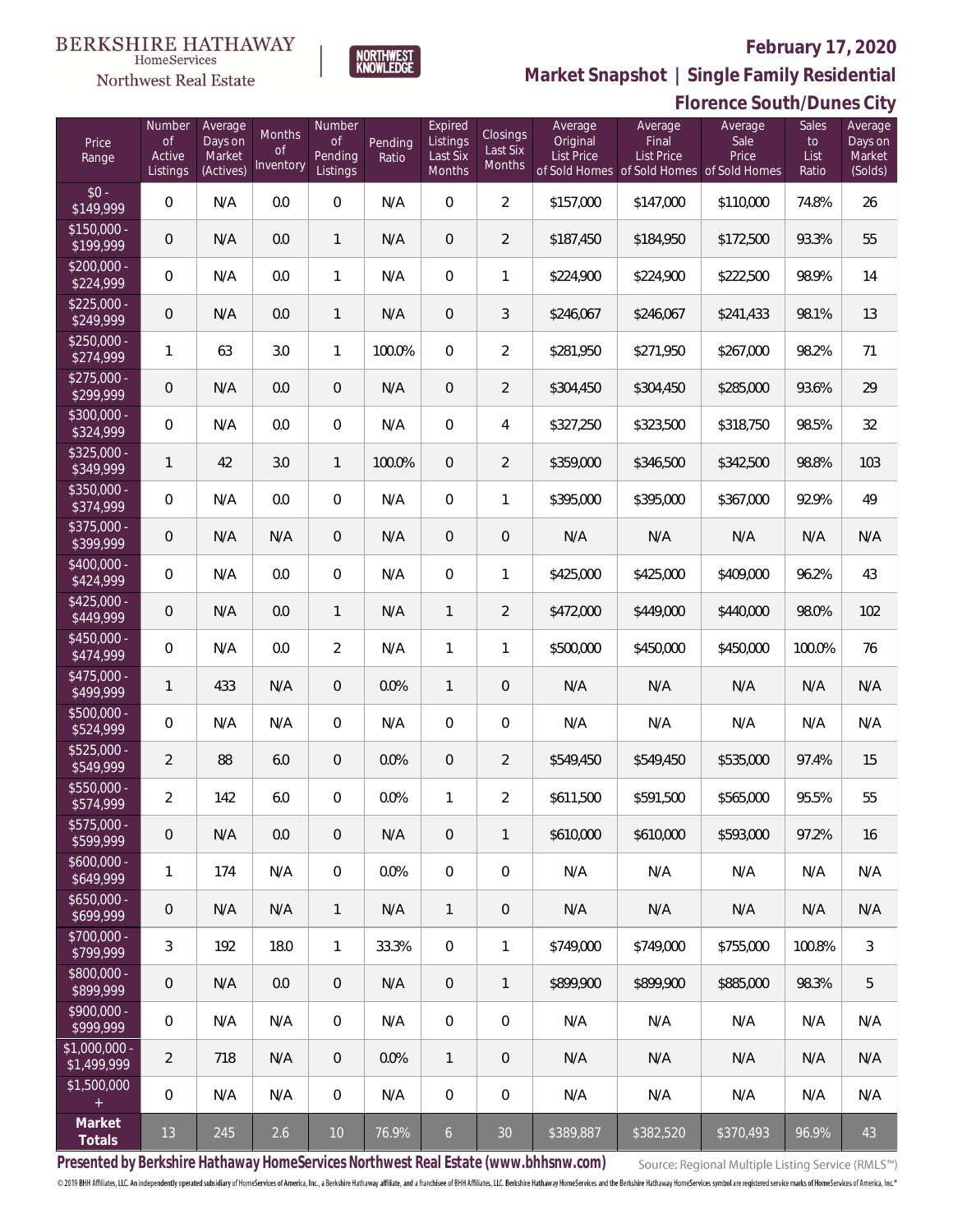# Northwest Real Estate



### **February 17, 2020**

**Market Snapshot | Single Family Residential**

### **Florence South/Dunes City**

| Price<br>Range               | Number<br>of<br>Active<br>Listings | Average<br>Days on<br>Market<br>(Actives) | Months<br>Οf<br>Inventory | Number<br><b>of</b><br>Pending<br>Listings | Pending<br>Ratio | Expired<br>Listings<br>Last Six<br>Months | Closings<br>Last Six<br>Months | Average<br>Original<br><b>List Price</b> | Average<br>Final<br>List Price<br>of Sold Homes of Sold Homes of Sold Homes | Average<br>Sale<br>Price | Sales<br>to<br>List<br>Ratio | Average<br>Days on<br>Market<br>(Solds) |
|------------------------------|------------------------------------|-------------------------------------------|---------------------------|--------------------------------------------|------------------|-------------------------------------------|--------------------------------|------------------------------------------|-----------------------------------------------------------------------------|--------------------------|------------------------------|-----------------------------------------|
| $$0 -$<br>\$149,999          | $\overline{0}$                     | N/A                                       | 0.0                       | $\overline{0}$                             | N/A              | $\overline{0}$                            | $\overline{2}$                 | \$157,000                                | \$147,000                                                                   | \$110,000                | 74.8%                        | 26                                      |
| $$150,000 -$<br>\$199,999    | 0                                  | N/A                                       | 0.0                       | $\mathbf{1}$                               | N/A              | $\overline{0}$                            | $\overline{2}$                 | \$187,450                                | \$184,950                                                                   | \$172,500                | 93.3%                        | 55                                      |
| $$200,000 -$<br>\$224,999    | $\overline{0}$                     | N/A                                       | 0.0                       | $\mathbf{1}$                               | N/A              | $\overline{0}$                            | $\mathbf{1}$                   | \$224,900                                | \$224,900                                                                   | \$222,500                | 98.9%                        | 14                                      |
| $$225,000 -$<br>\$249,999    | 0                                  | N/A                                       | 0.0                       | $\mathbf{1}$                               | N/A              | $\overline{0}$                            | 3                              | \$246,067                                | \$246,067                                                                   | \$241,433                | 98.1%                        | 13                                      |
| $$250,000 -$<br>\$274,999    | 1                                  | 63                                        | 3.0                       | $\mathbf{1}$                               | 100.0%           | $\overline{0}$                            | $\overline{2}$                 | \$281,950                                | \$271,950                                                                   | \$267,000                | 98.2%                        | 71                                      |
| $$275,000 -$<br>\$299,999    | 0                                  | N/A                                       | 0.0                       | $\overline{0}$                             | N/A              | $\overline{0}$                            | $\overline{2}$                 | \$304,450                                | \$304,450                                                                   | \$285,000                | 93.6%                        | 29                                      |
| $$300,000 -$<br>\$324,999    | $\overline{0}$                     | N/A                                       | 0.0                       | $\overline{0}$                             | N/A              | $\overline{0}$                            | $\overline{4}$                 | \$327,250                                | \$323,500                                                                   | \$318,750                | 98.5%                        | 32                                      |
| $$325,000 -$<br>\$349,999    | $\mathbf{1}$                       | 42                                        | 3.0                       | $\mathbf{1}$                               | 100.0%           | $\overline{0}$                            | $\overline{2}$                 | \$359,000                                | \$346,500                                                                   | \$342,500                | 98.8%                        | 103                                     |
| $$350,000 -$<br>\$374,999    | $\overline{0}$                     | N/A                                       | 0.0                       | $\overline{0}$                             | N/A              | $\overline{0}$                            | $\mathbf{1}$                   | \$395,000                                | \$395,000                                                                   | \$367,000                | 92.9%                        | 49                                      |
| \$375,000 -<br>\$399,999     | 0                                  | N/A                                       | N/A                       | $\overline{0}$                             | N/A              | $\overline{0}$                            | $\mathbf 0$                    | N/A                                      | N/A                                                                         | N/A                      | N/A                          | N/A                                     |
| $$400,000 -$<br>\$424,999    | $\overline{0}$                     | N/A                                       | 0.0                       | $\overline{0}$                             | N/A              | $\overline{0}$                            | 1                              | \$425,000                                | \$425,000                                                                   | \$409,000                | 96.2%                        | 43                                      |
| $$425,000 -$<br>\$449,999    | 0                                  | N/A                                       | 0.0                       | $\mathbf{1}$                               | N/A              | $\mathbf{1}$                              | $\overline{2}$                 | \$472,000                                | \$449,000                                                                   | \$440,000                | 98.0%                        | 102                                     |
| $$450,000 -$<br>\$474,999    | $\overline{0}$                     | N/A                                       | 0.0                       | $\overline{2}$                             | N/A              | $\mathbf{1}$                              | 1                              | \$500,000                                | \$450,000                                                                   | \$450,000                | 100.0%                       | 76                                      |
| $$475,000 -$<br>\$499,999    | $\mathbf{1}$                       | 433                                       | N/A                       | $\overline{0}$                             | 0.0%             | $\mathbf{1}$                              | $\mathbf 0$                    | N/A                                      | N/A                                                                         | N/A                      | N/A                          | N/A                                     |
| \$500,000 -<br>\$524,999     | $\mathbf 0$                        | N/A                                       | N/A                       | $\overline{0}$                             | N/A              | $\overline{0}$                            | $\mathbf 0$                    | N/A                                      | N/A                                                                         | N/A                      | N/A                          | N/A                                     |
| \$525,000 -<br>\$549,999     | $\overline{2}$                     | 88                                        | 6.0                       | $\overline{0}$                             | 0.0%             | $\overline{0}$                            | $\overline{2}$                 | \$549,450                                | \$549,450                                                                   | \$535,000                | 97.4%                        | 15                                      |
| $$550,000 -$<br>\$574,999    | $\overline{a}$                     | 142                                       | 6.0                       | $\overline{0}$                             | 0.0%             | $\mathbf{1}$                              | $\overline{2}$                 | \$611,500                                | \$591,500                                                                   | \$565,000                | 95.5%                        | 55                                      |
| $$575,000 -$<br>\$599,999    | $\mathsf{O}\xspace$                | N/A                                       | 0.0                       | $\overline{0}$                             | N/A              | $\mathbf 0$                               | $\mathbf{1}$                   | \$610,000                                | \$610,000                                                                   | \$593,000                | 97.2%                        | 16                                      |
| $$600,000 -$<br>\$649,999    | 1                                  | 174                                       | N/A                       | $\mathbf 0$                                | 0.0%             | $\mathbf 0$                               | $\boldsymbol{0}$               | N/A                                      | N/A                                                                         | N/A                      | N/A                          | N/A                                     |
| $$650,000 -$<br>\$699,999    | $\mathbf 0$                        | N/A                                       | N/A                       | $\mathbf{1}$                               | N/A              | $\mathbf{1}$                              | 0                              | N/A                                      | N/A                                                                         | N/A                      | N/A                          | N/A                                     |
| $$700,000 -$<br>\$799,999    | 3                                  | 192                                       | 18.0                      | $\mathbf{1}$                               | 33.3%            | $\mathbf 0$                               | 1                              | \$749,000                                | \$749,000                                                                   | \$755,000                | 100.8%                       | 3                                       |
| $$800,000 -$<br>\$899,999    | $\mathbf 0$                        | N/A                                       | 0.0                       | $\overline{0}$                             | N/A              | $\overline{0}$                            | $\mathbf{1}$                   | \$899,900                                | \$899,900                                                                   | \$885,000                | 98.3%                        | 5                                       |
| $$900,000 -$<br>\$999,999    | $\mathbb O$                        | N/A                                       | N/A                       | $\overline{0}$                             | N/A              | $\mathbf 0$                               | 0                              | N/A                                      | N/A                                                                         | N/A                      | N/A                          | N/A                                     |
| \$1,000,000 -<br>\$1,499,999 | $\overline{2}$                     | 718                                       | N/A                       | $\overline{0}$                             | 0.0%             | $\mathbf{1}$                              | 0                              | N/A                                      | N/A                                                                         | N/A                      | N/A                          | N/A                                     |
| \$1,500,000<br>$+$           | $\,0\,$                            | N/A                                       | N/A                       | $\mathbf 0$                                | N/A              | $\mathbf 0$                               | $\mathbf 0$                    | N/A                                      | N/A                                                                         | N/A                      | N/A                          | N/A                                     |
| Market<br>Totals             | 13                                 | 245                                       | 2.6                       | 10                                         | 76.9%            | $\mathfrak{b}$                            | 30 <sup>°</sup>                | \$389,887                                | \$382,520                                                                   | \$370,493                | 96.9%                        | 43                                      |

**Presented by Berkshire Hathaway HomeServices Northwest Real Estate (www.bhhsnw.com)**

Source: Regional Multiple Listing Service (RMLS™)